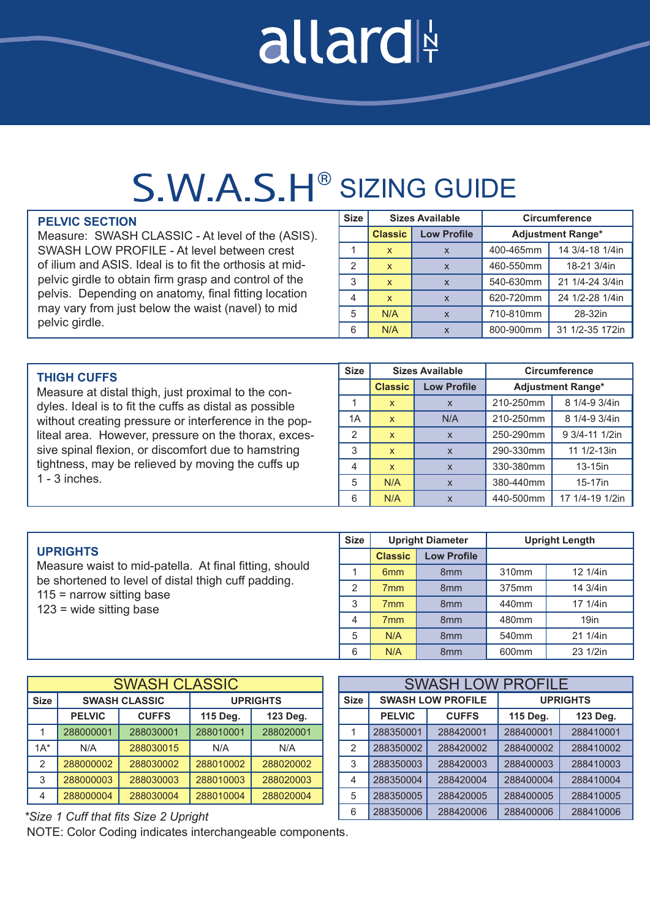# allard

### S.W.A.S.H<sup>®</sup> SIZING GUIDE

#### **PELVIC SECTION**

Measure: SWASH CLASSIC - At level of the (ASIS). SWASH LOW PROFILE - At level between crest of ilium and ASIS. Ideal is to fit the orthosis at midpelvic girdle to obtain firm grasp and control of the pelvis. Depending on anatomy, final fitting location may vary from just below the waist (navel) to mid pelvic girdle.

| <b>Size</b> |                | <b>Sizes Available</b>    | <b>Circumference</b>     |                 |  |  |
|-------------|----------------|---------------------------|--------------------------|-----------------|--|--|
|             | <b>Classic</b> | <b>Low Profile</b>        | <b>Adjustment Range*</b> |                 |  |  |
|             | X              | $\boldsymbol{\mathsf{x}}$ | 400-465mm                | 14 3/4-18 1/4in |  |  |
| 2           | X              | $\mathsf{x}$              | 460-550mm                | 18-21 3/4in     |  |  |
| 3           | $\mathsf{x}$   | $\mathsf{x}$              | 540-630mm                | 21 1/4-24 3/4in |  |  |
|             | X              | $\mathbf{x}$              | 620-720mm                | 24 1/2-28 1/4in |  |  |
| 5           | N/A            | $\boldsymbol{\mathsf{x}}$ | 710-810mm                | 28-32in         |  |  |
| 6           | N/A            | $\mathbf x$               | 800-900mm                | 31 1/2-35 172in |  |  |

| <b>THIGH CUFFS</b>                                     |    | <b>Sizes Available</b> |                    | <b>Circumference</b>     |                 |
|--------------------------------------------------------|----|------------------------|--------------------|--------------------------|-----------------|
| Measure at distal thigh, just proximal to the con-     |    | <b>Classic</b>         | <b>Low Profile</b> | <b>Adjustment Range*</b> |                 |
| dyles. Ideal is to fit the cuffs as distal as possible |    | X                      | $\mathsf{x}$       | 210-250mm                | 8 1/4-9 3/4in   |
| without creating pressure or interference in the pop-  | 1A | $\mathsf{x}$           | N/A                | 210-250mm                | 8 1/4-9 3/4in   |
| liteal area. However, pressure on the thorax, exces-   | 2  | $\mathsf{x}$           | $\mathsf{x}$       | 250-290mm                | 9 3/4-11 1/2in  |
| sive spinal flexion, or discomfort due to hamstring    | 3  | $\mathsf{x}$           | $\mathsf{x}$       | 290-330mm                | 11 1/2-13in     |
| tightness, may be relieved by moving the cuffs up      | 4  | $\mathsf{x}$           | $\mathsf{x}$       | 330-380mm                | $13-15$ in      |
| $1 - 3$ inches.                                        | 5  | N/A                    | $\mathsf{x}$       | 380-440mm                | 15-17in         |
|                                                        | 6  | N/A                    | $\mathsf{x}$       | 440-500mm                | 17 1/4-19 1/2in |

|                                                                                                                                                                           | <b>Size</b> | <b>Upright Diameter</b> |                    | <b>Upright Length</b> |                  |
|---------------------------------------------------------------------------------------------------------------------------------------------------------------------------|-------------|-------------------------|--------------------|-----------------------|------------------|
| <b>UPRIGHTS</b>                                                                                                                                                           |             | <b>Classic</b>          | <b>Low Profile</b> |                       |                  |
| Measure waist to mid-patella. At final fitting, should<br>be shortened to level of distal thigh cuff padding.<br>$115$ = narrow sitting base<br>$123$ = wide sitting base |             | 6 <sub>mm</sub>         | 8 <sub>mm</sub>    | 310mm                 | 12 1/4in         |
|                                                                                                                                                                           | ◠           | 7 <sub>mm</sub>         | 8 <sub>mm</sub>    | 375mm                 | 14 3/4in         |
|                                                                                                                                                                           | 3           | 7 <sub>mm</sub>         | 8 <sub>mm</sub>    | 440mm                 | 17 1/4in         |
|                                                                                                                                                                           | 4           | 7 <sub>mm</sub>         | 8 <sub>mm</sub>    | 480mm                 | 19 <sub>in</sub> |
|                                                                                                                                                                           | 5           | N/A                     | 8 <sub>mm</sub>    | 540 <sub>mm</sub>     | 21 1/4in         |
|                                                                                                                                                                           | 6           | N/A                     | 8 <sub>mm</sub>    | 600 <sub>mm</sub>     | 23 1/2in         |

| <b>SWASH CLASSIC</b> |               |                      |                 |           |  |  |
|----------------------|---------------|----------------------|-----------------|-----------|--|--|
| <b>Size</b>          |               | <b>SWASH CLASSIC</b> | <b>UPRIGHTS</b> |           |  |  |
|                      | <b>PELVIC</b> | <b>CUFFS</b>         | 115 Deg.        | 123 Deg.  |  |  |
|                      | 288000001     | 288030001            | 288010001       | 288020001 |  |  |
| $1A^*$               | N/A           | 288030015            | N/A             | N/A       |  |  |
| 2                    | 288000002     | 288030002            | 288010002       | 288020002 |  |  |
| 3                    | 288000003     | 288030003            | 288010003       | 288020003 |  |  |
| 4                    | 288000004     | 288030004            | 288010004       | 288020004 |  |  |

#### **Size SWASH LOW PROFILE UPRIGHTS PELVIC CUFFS 115 Deg. 123 Deg.** 1 288350001 288420001 288400001 288410001 2 288350002 288420002 288400002 288410002 3 288350003 288420003 288400003 288410003 4 288350004 288420004 288400004 288410004 5 288350005 288420005 288400005 288410005 6 288350006 288420006 288400006 288410006 SWASH LOW PROFILE

#### *\*Size 1 Cuff that fits Size 2 Upright*

NOTE: Color Coding indicates interchangeable components.